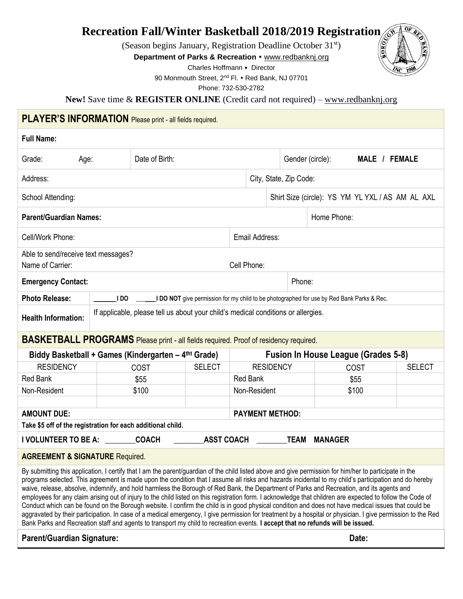### **Recreation Fall/Winter Basketball 2018/2019 Registration**

(Season begins January, Registration Deadline October 31st)

**Department of Parks & Recreation • [www.redbanknj.org](http://www.redbanknj.org/)** 

Charles Hoffmann • Director

90 Monmouth Street, 2<sup>nd</sup> Fl. • Red Bank, NJ 07701

Phone: 732-530-2782

**New!** Save time & **REGISTER ONLINE** (Credit card not required) – [www.redbanknj.org](http://www.redbanknj.org/)

### **PLAYER'S INFORMATION** Please print - all fields required.

#### **Full Name:**

| Grade:<br>Age:                                                                                                                                                                                                                                                                                                                                                                                                                                                                                                                                                                                                                                                                                                                                                                                                                                                                                                                                                                                                                                                                        |                                                                                                                 | Date of Birth:                                                                            |               |                 |                                                  | Gender (circle):<br>MALE / FEMALE |                |       |               |  |
|---------------------------------------------------------------------------------------------------------------------------------------------------------------------------------------------------------------------------------------------------------------------------------------------------------------------------------------------------------------------------------------------------------------------------------------------------------------------------------------------------------------------------------------------------------------------------------------------------------------------------------------------------------------------------------------------------------------------------------------------------------------------------------------------------------------------------------------------------------------------------------------------------------------------------------------------------------------------------------------------------------------------------------------------------------------------------------------|-----------------------------------------------------------------------------------------------------------------|-------------------------------------------------------------------------------------------|---------------|-----------------|--------------------------------------------------|-----------------------------------|----------------|-------|---------------|--|
| Address:                                                                                                                                                                                                                                                                                                                                                                                                                                                                                                                                                                                                                                                                                                                                                                                                                                                                                                                                                                                                                                                                              |                                                                                                                 |                                                                                           |               |                 | City, State, Zip Code:                           |                                   |                |       |               |  |
| School Attending:                                                                                                                                                                                                                                                                                                                                                                                                                                                                                                                                                                                                                                                                                                                                                                                                                                                                                                                                                                                                                                                                     |                                                                                                                 |                                                                                           |               |                 | Shirt Size (circle): YS YM YL YXL / AS AM AL AXL |                                   |                |       |               |  |
| <b>Parent/Guardian Names:</b>                                                                                                                                                                                                                                                                                                                                                                                                                                                                                                                                                                                                                                                                                                                                                                                                                                                                                                                                                                                                                                                         |                                                                                                                 |                                                                                           |               |                 | Home Phone:                                      |                                   |                |       |               |  |
| Cell/Work Phone:                                                                                                                                                                                                                                                                                                                                                                                                                                                                                                                                                                                                                                                                                                                                                                                                                                                                                                                                                                                                                                                                      |                                                                                                                 |                                                                                           |               | Email Address:  |                                                  |                                   |                |       |               |  |
| Able to send/receive text messages?<br>Name of Carrier:<br>Cell Phone:                                                                                                                                                                                                                                                                                                                                                                                                                                                                                                                                                                                                                                                                                                                                                                                                                                                                                                                                                                                                                |                                                                                                                 |                                                                                           |               |                 |                                                  |                                   |                |       |               |  |
| <b>Emergency Contact:</b>                                                                                                                                                                                                                                                                                                                                                                                                                                                                                                                                                                                                                                                                                                                                                                                                                                                                                                                                                                                                                                                             |                                                                                                                 |                                                                                           |               |                 |                                                  | Phone:                            |                |       |               |  |
| <b>Photo Release:</b>                                                                                                                                                                                                                                                                                                                                                                                                                                                                                                                                                                                                                                                                                                                                                                                                                                                                                                                                                                                                                                                                 | I DO                                                                                                            | I DO NOT give permission for my child to be photographed for use by Red Bank Parks & Rec. |               |                 |                                                  |                                   |                |       |               |  |
|                                                                                                                                                                                                                                                                                                                                                                                                                                                                                                                                                                                                                                                                                                                                                                                                                                                                                                                                                                                                                                                                                       | If applicable, please tell us about your child's medical conditions or allergies.<br><b>Health Information:</b> |                                                                                           |               |                 |                                                  |                                   |                |       |               |  |
| <b>BASKETBALL PROGRAMS</b> Please print - all fields required. Proof of residency required.                                                                                                                                                                                                                                                                                                                                                                                                                                                                                                                                                                                                                                                                                                                                                                                                                                                                                                                                                                                           |                                                                                                                 |                                                                                           |               |                 |                                                  |                                   |                |       |               |  |
| Biddy Basketball + Games (Kindergarten – 4 <sup>tht</sup> Grade)                                                                                                                                                                                                                                                                                                                                                                                                                                                                                                                                                                                                                                                                                                                                                                                                                                                                                                                                                                                                                      |                                                                                                                 |                                                                                           |               |                 | <b>Fusion In House League (Grades 5-8)</b>       |                                   |                |       |               |  |
| <b>RESIDENCY</b>                                                                                                                                                                                                                                                                                                                                                                                                                                                                                                                                                                                                                                                                                                                                                                                                                                                                                                                                                                                                                                                                      |                                                                                                                 | COST                                                                                      | <b>SELECT</b> |                 | <b>RESIDENCY</b>                                 |                                   |                | COST  | <b>SELECT</b> |  |
| <b>Red Bank</b>                                                                                                                                                                                                                                                                                                                                                                                                                                                                                                                                                                                                                                                                                                                                                                                                                                                                                                                                                                                                                                                                       |                                                                                                                 | \$55                                                                                      |               | <b>Red Bank</b> |                                                  |                                   |                | \$55  |               |  |
| Non-Resident                                                                                                                                                                                                                                                                                                                                                                                                                                                                                                                                                                                                                                                                                                                                                                                                                                                                                                                                                                                                                                                                          |                                                                                                                 | \$100                                                                                     |               | Non-Resident    |                                                  |                                   |                | \$100 |               |  |
| <b>AMOUNT DUE:</b>                                                                                                                                                                                                                                                                                                                                                                                                                                                                                                                                                                                                                                                                                                                                                                                                                                                                                                                                                                                                                                                                    |                                                                                                                 |                                                                                           |               |                 | <b>PAYMENT METHOD:</b>                           |                                   |                |       |               |  |
| Take \$5 off of the registration for each additional child.                                                                                                                                                                                                                                                                                                                                                                                                                                                                                                                                                                                                                                                                                                                                                                                                                                                                                                                                                                                                                           |                                                                                                                 |                                                                                           |               |                 |                                                  |                                   |                |       |               |  |
| I VOLUNTEER TO BE A: COACH<br><b>ASST COACH</b>                                                                                                                                                                                                                                                                                                                                                                                                                                                                                                                                                                                                                                                                                                                                                                                                                                                                                                                                                                                                                                       |                                                                                                                 |                                                                                           |               |                 |                                                  | <b>TEAM</b>                       | <b>MANAGER</b> |       |               |  |
| <b>AGREEMENT &amp; SIGNATURE Required.</b>                                                                                                                                                                                                                                                                                                                                                                                                                                                                                                                                                                                                                                                                                                                                                                                                                                                                                                                                                                                                                                            |                                                                                                                 |                                                                                           |               |                 |                                                  |                                   |                |       |               |  |
| By submitting this application, I certify that I am the parent/guardian of the child listed above and give permission for him/her to participate in the<br>programs selected. This agreement is made upon the condition that I assume all risks and hazards incidental to my child's participation and do hereby<br>waive, release, absolve, indemnify, and hold harmless the Borough of Red Bank, the Department of Parks and Recreation, and its agents and<br>employees for any claim arising out of injury to the child listed on this registration form. I acknowledge that children are expected to follow the Code of<br>Conduct which can be found on the Borough website. I confirm the child is in good physical condition and does not have medical issues that could be<br>aggravated by their participation. In case of a medical emergency, I give permission for treatment by a hospital or physician. I give permission to the Red<br>Bank Parks and Recreation staff and agents to transport my child to recreation events. I accept that no refunds will be issued. |                                                                                                                 |                                                                                           |               |                 |                                                  |                                   |                |       |               |  |

#### Parent/Guardian Signature: **Date:** Date: Date: Date: Date: Date: Date: Date: Date: Date: Date: Date: Date: Date: Date: Date: Date: Date: Date: Date: Date: Date: Date: Date: Date: Date: Date: Date: Date: Date: Date: Date: D